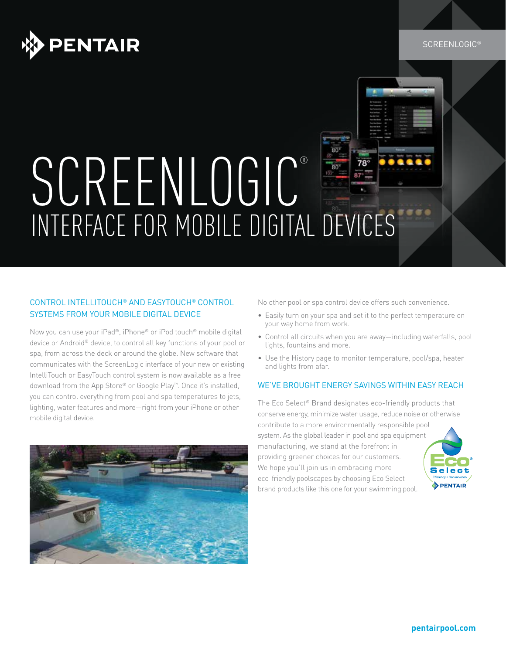

#### SCREENLOGIC®

# SCREENLOGIC®  $78^\circ$ INTERFACE FOR MOBILE DIGITAL DEVICES

### CONTROL INTELLITOUCH® AND EASYTOUCH® CONTROL SYSTEMS FROM YOUR MOBILE DIGITAL DEVICE

Now you can use your iPad®, iPhone® or iPod touch® mobile digital device or Android® device, to control all key functions of your pool or spa, from across the deck or around the globe. New software that communicates with the ScreenLogic interface of your new or existing IntelliTouch or EasyTouch control system is now available as a free download from the App Store® or Google Play™. Once it's installed, you can control everything from pool and spa temperatures to jets, lighting, water features and more—right from your iPhone or other mobile digital device.



No other pool or spa control device offers such convenience.

- Easily turn on your spa and set it to the perfect temperature on your way home from work.
- Control all circuits when you are away—including waterfalls, pool lights, fountains and more.
- Use the History page to monitor temperature, pool/spa, heater and lights from afar.

#### WE'VE BROUGHT ENERGY SAVINGS WITHIN EASY REACH

The Eco Select® Brand designates eco-friendly products that conserve energy, minimize water usage, reduce noise or otherwise contribute to a more environmentally responsible pool system. As the global leader in pool and spa equipment manufacturing, we stand at the forefront in providing greener choices for our customers. We hope you'll join us in embracing more eco-friendly poolscapes by choosing Eco Select brand products like this one for your swimming pool.